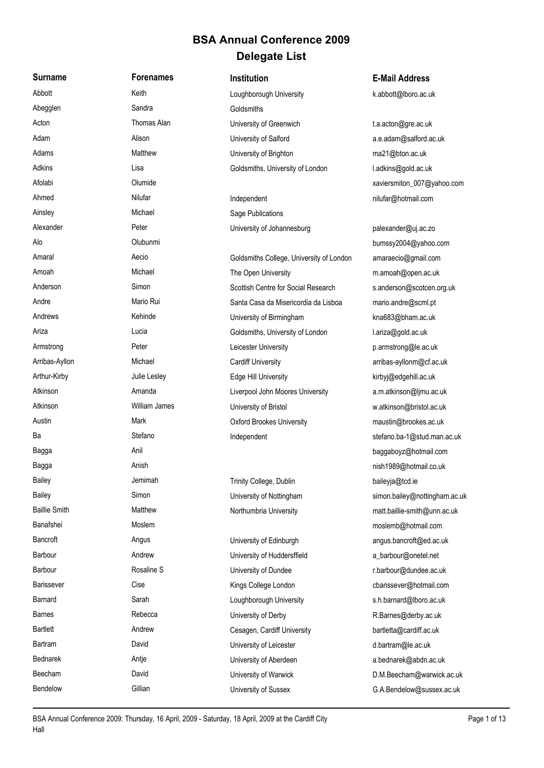## **Delegate List BSA Annual Conference 2009**

**Surname Forenames Institution E-Mail Address** Abbott Keith Keith Loughborough University k.abbott@lboro.ac.uk Abegglen Sandra Sandra Goldsmiths Acton Thomas Alan University of Greenwich t.a.acton@gre.ac.uk Adam Alison Alison University of Salford a.e. adam@salford.ac.uk Adams Matthew Matthew University of Brighton ma21@bton.ac.uk Adkins Lisa Lisa Coldsmiths, University of London Ladkins@gold.ac.uk Afolabi **Afolabi Olumide Olumide Community Olumide Community Community Community Community Community Community Community Community Community Community Community Community Community Commu** Ahmed Nilufar Nilufar Independent nilufar nilufar@hotmail.com Ainsley Michael Michael Sage Publications Alexander **Peter** Peter **Peter** University of Johannesburg palexander@uj.ac.zo Alo Olubunmi bumssy2004@yahoo.com Banafshei **Moslem Moslem Moslem** Moslem moslemb@hotmail.com Bancroft **Angus** Angus University of Edinburgh angus.bancroft@ed.ac.uk Barbour **Andrew Andrew University of Huddersffield** and a barbour@onetel.net Barbour **Rosaline S** Rosaline S University of Dundee **rational Constantine Rosaline** S Constantine Rosaline S Constantine Dundee. Accuracy Rosaline S Barissever **Cise** Cise Cise Kings College London charissever@hotmail.com Barnard Sarah Sarah Loughborough University s.h.barnard@lboro.ac.uk Barnes Rebecca Rebecca University of Derby R.Barnes@derby.ac.uk Bartlett **Andrew Cesagen, Cardiff University** bartletta@cardiff.ac.uk Bartram **Bavid** David University of Leicester **department of Leicester** d.bartram@le.ac.uk Bednarek **Antje** Antie Antie University of Aberdeen a.bednarek@abdn.ac.uk

Amaral **Accio** Aecio Goldsmiths College, University of London amaraecio@gmail.com Amoah Michael Michael The Open University mamoah@open.ac.uk Anderson Simon Simon Scottish Centre for Social Research sanderson@scotcen.org.uk Andre **Mario Rui Santa Casa da Misericordia da Lisboa** mario.andre@scml.pt Andrews Kehinde University of Birmingham kna683@bham.ac.uk Ariza **Lucia** Lucia Coldsmiths, University of London Lariza@gold.ac.uk Armstrong **Example 20 Peter** Peter **Leicester University Parmstrong** p.armstrong@le.ac.uk Arribas-Ayllon Michael Michael Cardiff University carribas-ayllonm@cf.ac.uk Arthur-Kirby **Marthur-Kirby Martic Lesley** Edge Hill University **Communisty** kirbyj@edgehill.ac.uk Atkinson **Amanda** Amanda Liverpool John Moores University a.m.atkinson@ljmu.ac.uk Atkinson William James University of Bristol www.atkinson@bristol.ac.uk Austin **Mark** Mark **Oxford Brookes University** maustin@brookes.ac.uk Ba Stefano Stefano Independent stefano.ba-1@stud.man.ac.uk Bagga **Baggaboyz@hotmail.com** Bagga Anish nish1989@hotmail.co.uk Bailey **South America College, College, College, Dublin** baileyia baileyia and baileyia and baileyia and baileyia Bailey **Simon** Simon University of Nottingham simon.bailey@nottingham.ac.uk Baillie Smith Matthew Matthew Northumbria University matt.baillie-smith@unn.ac.uk

Bendelow Gillian Gillian University of Sussex G.A.Bendelow@sussex.ac.uk

Beecham David David University of Warwick Communication D.M.Beecham@warwick.ac.uk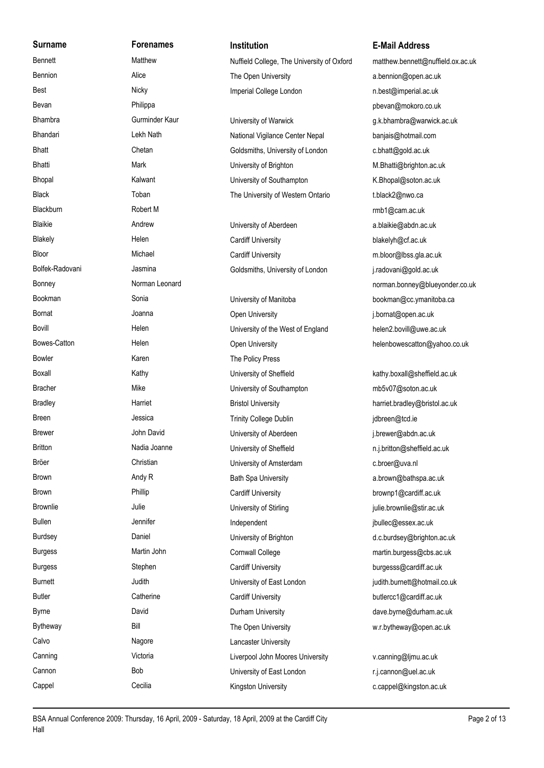**Surname Forenames Institution E-Mail Address** Bevan **Bevan** Philippa **Philippa** particle is the value of the value of the value of the value of the value of the value of the value of the value of the value of the value of the value of the value of the value of the val Blackburn **Robert M** Robert M **rmb1@cam.ac.uk** Bowler **Karen** Karen The Policy Press Calvo **Nagore** Nagore **Lancaster University** 

Bennett Matthew Matthew Nuffield College, The University of Oxford matthew.bennett@nuffield.ox.ac.uk Bennion **Alice** Alice The Open University a.bennion@open.ac.uk Best **Imperial College London** networks and the Sesten and Nicky Imperial College London networks and the sesten in

Bhandari Lekh Nath National Vigilance Center Nepal banjais@hotmail.com Bhatt Chetan Chetan Goldsmiths, University of London c.bhatt@gold.ac.uk Bhatti Mark Mark University of Brighton M.Bhatti@brighton.ac.uk Bhopal Kalwant Kalwant University of Southampton K.Bhopal@soton.ac.uk Black Toban Toban Toban The University of Western Ontario t.black2@nwo.ca

Blaikie **Andrew Andrew University of Aberdeen** a.blaikie@abdn.ac.uk Blakely **Example 20** Helen Cardiff University **Cardiff University** blakelyh@cf.ac.uk Bloor Michael Michael Cardiff University m.bloor@lbss.gla.ac.uk Bolfek-Radovani Jasmina Jasmina Goldsmiths, University of London j.radovani@gold.ac.uk

Bornat **Solution Community** Joanna Copen University **Community** i.bornat@open.ac.uk Bovill **Example 2.** Helen Helen Helen University of the West of England helen2.bovill@uwe.ac.uk Bowes-Catton **Exercise Helen** Helen **Comes-Catton Helenbowescatton** Helenbowescatton and Helenbowescatton and Helen Boxall **Example 2** Kathy Christen Boxall Christen Hathy.boxall@sheffield.ac.uk Bracher **Mike** Mike University of Southampton mb5v07@soton.ac.uk Bradley **Harriet Harriet** Bristol University **Example 20 and Example 20 and Example 20** and the Bristol.ac.uk Breen Jessica Jessica Trinity College Dublin and a gibreen@tcd.ie Brewer **School School University of Aberdeen** and Disease intervention and the University of Aberdeen and The School is a Librewer@abdn.ac.uk Britton Madia Joanne University of Sheffield networkship n.j.britton@sheffield.ac.uk Bröer Christian Christian University of Amsterdam c.broer@uva.nl Brown **Andy R** Andy R Bath Spa University **Brown Andy R** Bath Spa University **Account Account Account** Bath Spa University **Account Account Account** Bath Spa University **Account Account Account Account Account Account Acco** Brown **Phillip Phillip Cardiff University** Cardiff University brownp1@cardiff.ac.uk Brownlie Julie Julie Chromateur University of Stirling in the brownlie@stir.ac.uk Bullen **Independent independent** Jennifer **independent** independent independent independent by the pullec@essex.ac.uk Burdsey **Daniel Daniel Community of Brighton** University of Brighton accuration accuration accuration accuration.ac.uk Burgess **Martin John Cornwall College** martin.burgess@cbs.ac.uk Burgess **Stephen Cardiff University** Cardiff University **Cardiff University** burgesss@cardiff.ac.uk Burnett Judith Judith University of East London judith.burnett@hotmail.co.uk Butler Catherine Catherine Cardiff University Cardiff University butlercc1@cardiff.ac.uk Byrne **Byrne** David David Durham University **Durham University** dave.byrne@durham.ac.uk Bytheway Bill Bill The Open University and the W.r.bytheway@open.ac.uk Canning Victoria Victoria Liverpool John Moores University v.canning@limu.ac.uk Cannon and Bob Bob University of East London and T.j.cannon@uel.ac.uk Cappel Cecilia Cecilia Kingston University Cappel Cappel Cappel Cappel Cappel Cappel Cappel Cecilia

Bhambra **Gurminder Kaur** University of Warwick Gurminder Kaur University of Warwick Bonney **Norman Leonard** Norman Leonard norman.bonney@blueyonder.co.uk Bookman Sonia Sonia University of Manitoba bookman@cc.ymanitoba.ca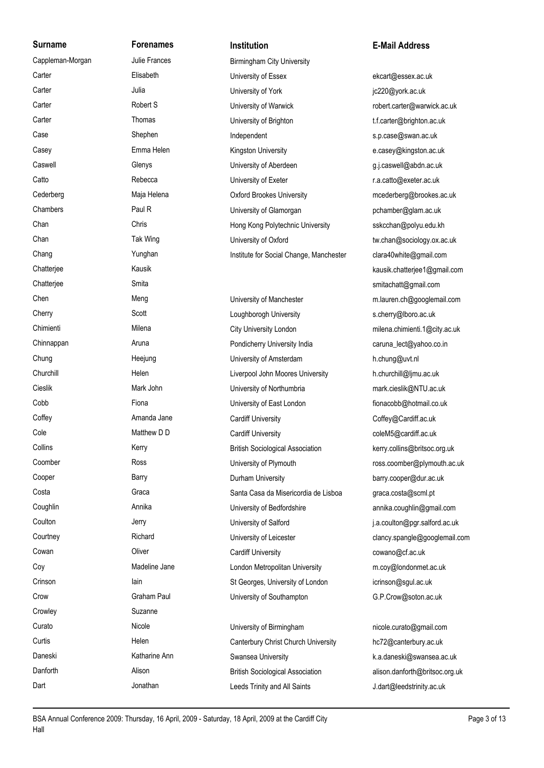Cappleman-Morgan Julie Frances Birmingham City University Carter Elisabeth University of Essex ekcart@essex.ac.uk Carter **Carter** Julia Julia **Carter** Julia **University of York** in the University of York carter and the University of York carter and the University of York carter and the University of York carter and the University of Y Carter **S** Carter Robert S Content Content Carter Content Carter Content Carter Content Content Content Content Content Content Content Content Content Content Content Content Content Content Content Content Content Conten Carter Thomas Thomas University of Brighton t.f.carter@brighton.ac.uk Case Shephen Independent states Shephen Shephen Supersection of the Supersection of the Supersection Schedule Casey **Emma Helen** Kingston University **Example 20 and Casey** e.casey@kingston.ac.uk Caswell Glenys Glenys University of Aberdeen and Caswell@abdn.ac.uk Catto **Rebecca** Rebecca **University of Exeter Rebecca University of Exeter Research Research Research Research Research Research Research Research Research Research Research Research Research Research Research Resear** Cederberg Maja Helena Oxford Brookes University mcederberg@brookes.ac.uk Chambers **Paul R** Paul R University of Glamorgan pchamber@glam.ac.uk Chan Chris Chris Hong Kong Polytechnic University sskcchan@polyu.edu.kh Chan Tak Wing University of Oxford tw.chan@sociology.ox.ac.uk Chang The Chang Yunghan Institute for Social Change, Manchester clara40white@gmail.com

Chen **Meng Weng University of Manchester** metal metal metal metal of Manchester metal metal metal metal metal of Cherry Scott Scott Loughborogh University s.cherry@lboro.ac.uk Chimienti Milena Milena City University London milena.chimienti.1@city.ac.uk Chinnappan **Aruna** Aruna **Pondicherry University India** caruna\_lect@yahoo.co.in Chung Chung Heejung Heeiung University of Amsterdam h.chung@uvt.nl Churchill **Example Helen** Helen Liverpool John Moores University h.churchill@ljmu.ac.uk Cieslik Mark John Mark John University of Northumbria mark.cieslik@NTU.ac.uk Cobb Fiona University of East London fionacobb@hotmail.co.uk Coffey Coffey Amanda Jane Cardiff University Cardiff Coffey Cardiff.ac.uk Cole Matthew D D Cardiff University Cole ColeM5@cardiff.ac.uk Collins **Kerry Kerry British Sociological Association** kerry.collins@britsoc.org.uk Coomber Ross Ross University of Plymouth ross.coomber@plymouth.ac.uk Cooper **Barry Barry Barry Barry Barry Barry Barry** Burham University **Barry Barry.cooper@dur.ac.uk** Costa Costa Graca Graca Santa Casa da Misericordia de Lisboa graca.costa@scml.pt Coughlin Coughlin Annika Annika University of Bedfordshire annika.coughlin@gmail.com Coulton **Coulton** Jerry **Jerry Coulton** University of Salford **Guide Coulton** i.a.coulton@pgr.salford.ac.uk Courtney **Richard** Richard University of Leicester clancy.spangle@googlemail.com Cowan Coliver Cowan Cardiff University Cardiff University Cowano Cotacuk Coy Coy Madeline Jane London Metropolitan University m.coy@londonmet.ac.uk Crinson **Iain** Iain St Georges, University of London icrinson@sgul.ac.uk Crow Graham Paul University of Southampton G.P.Crow@soton.ac.uk Curato Curato Curato Nicole Nicole University of Birmingham nicole.curato@gmail.com

Curtis Church University Helen Canterbury Christ Church University hc72@canterbury.ac.uk Daneski Katharine Ann Swansea University Swansea K.a.daneski@swansea.ac.uk Danforth Alison Alison British Sociological Association alison.danforth@britsoc.org.uk Dart **Constant Accord Jonathan** Leeds Trinity and All Saints **J.dart@leedstrinity.ac.uk** 

## **Surname Forenames Institution E-Mail Address**

Chatterjee Kausik kausik.chatterjee1@gmail.com Chatterjee Smita Smita smitachatt@gmail.com

Crowley Suzanne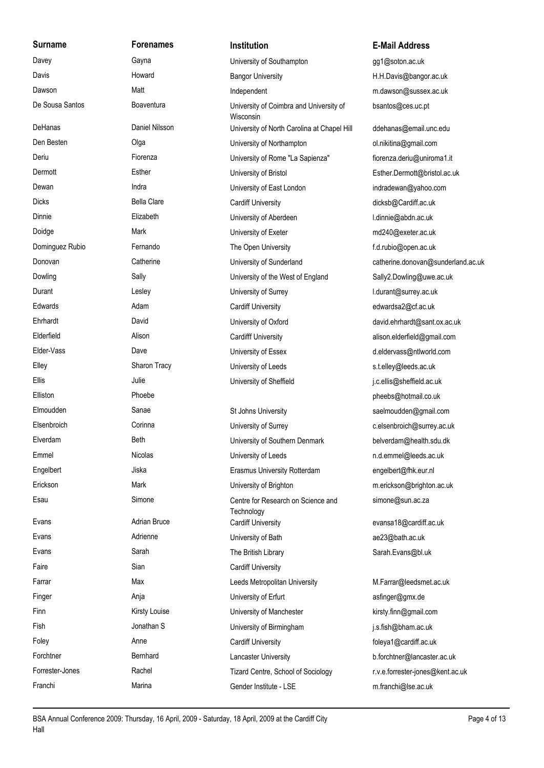**Surname Forenames Institution E-Mail Address** Davey **Cayna** Gayna University of Southampton and gg1@soton.ac.uk Davis Howard Bangor University H.H.Davis@bangor.ac.uk Dawson Matt Matt Matt Independent metal media metal metal metal metal metal metal metal metal metal metal metal De Sousa Santos Boaventura University of Coimbra and University of bsantos@ces.uc.pt DeHanas Daniel Nilsson University of North Carolina at Chapel Hill dehanas@email.unc.edu Den Besten Olga University of Northampton ol.nikitina@gmail.com Deriu **Fiorenza** Fiorenza **Bilang Community of Rome "La Sapienza"** fiorenza.deriu@uniroma1.it Dermott Esther University of Bristol Esther.Dermott@bristol.ac.uk Dewan Indra Indra Indra University of East London indradewan@yahoo.com Dicks Bella Clare Cardiff University Cardiff University dicksb@Cardiff.ac.uk Dinnie Elizabeth University of Aberdeen l.dinnie@abdn.ac.uk Doidge Mark Mark University of Exeter metal md240@exeter.ac.uk Dominguez Rubio Fernando Fernando The Open University F.d.rubio@open.ac.uk Donovan Catherine Catherine University of Sunderland Catherine.donovan@sunderland.ac.uk Dowling Sally Sally University of the West of England Sally2.Dowling@uwe.ac.uk Durant Curant Lesley Curant University of Surrey Curant Letterant Museum Curant Curant Curant Curant Curant Curant Curant Curant Curant Curant Curant Curant Curant Curant Curant Curant Curant Curant Curant Curant Curant Cu Edwards Adam Cardiff University edwardsa2@cf.ac.uk Ehrhardt David University of Oxford david.ehrhardt@sant.ox.ac.uk Elderfield **Alison** Alison Cardifff University alison.elderfield@gmail.com Elder-Vass Dave University of Essex d.eldervass@ntlworld.com Elley Sharon Tracy University of Leeds stelley@leeds.ac.uk Ellis Julie University of Sheffield j.c.ellis@sheffield.ac.uk Elliston Phoebe pheebs@hotmail.co.uk Elmoudden Sanae St Johns University saelmoudden@gmail.com Elsenbroich Corinna University of Surrey c.elsenbroich@surrey.ac.uk Elverdam Beth University of Southern Denmark belverdam@health.sdu.dk Emmel Nicolas Nicolas University of Leeds n.d.emmel@leeds.ac.uk Engelbert Jiska Jiska Erasmus University Rotterdam engelbert@fhk.eur.nl Erickson Mark Mark University of Brighton merickson@brighton.ac.uk Esau Simone Simone Centre for Research on Science and simone@sun.ac.za Evans **Example 20** Adrian Bruce **Cardiff University Cardiff University** evansa18@cardiff.ac.uk Evans **Example 23** Adrienne Matrienne Matrice University of Bath and the example are 23@bath.ac.uk Evans Sarah Sarah The British Library Sarah.Evans@bl.uk Faire Sian Sian Cardiff University Farrar Max Max Leeds Metropolitan University M.Farrar@leedsmet.ac.uk Finger **Anja** Anja **Angelerical Constructs** University of Erfurt **Angeleric Angeleric Angeleric Angeleric Angeleric Angeleric Angeleric Angeleric Angeleric Angeleric Angeleric Angeleric Angeleric Angeleric Angeleric Angele** Finn **Example 2** Kirsty Louise **Network Communist Communist Communist Communist Communist Communist Communist Communist Communist Communist Communist Communist Communist Communist Communist Communist Communist Communist Co** Fish Jonathan S University of Birmingham j.s.fish@bham.ac.uk Foley **Anne** Anne Cardiff University **Cardiff University Foleya1@cardiff.ac.uk** Foleya1@cardiff.ac.uk Forchtner Bernhard Lancaster University b.forchtner@lancaster.ac.uk Forrester-Jones **Rachel Rachel Tizard Centre, School of Sociology** r.v.e.forrester-jones@kent.ac.uk Franchi Marina Gender Institute - LSE m.franchi@lse.ac.uk

Wisconsin **Technology**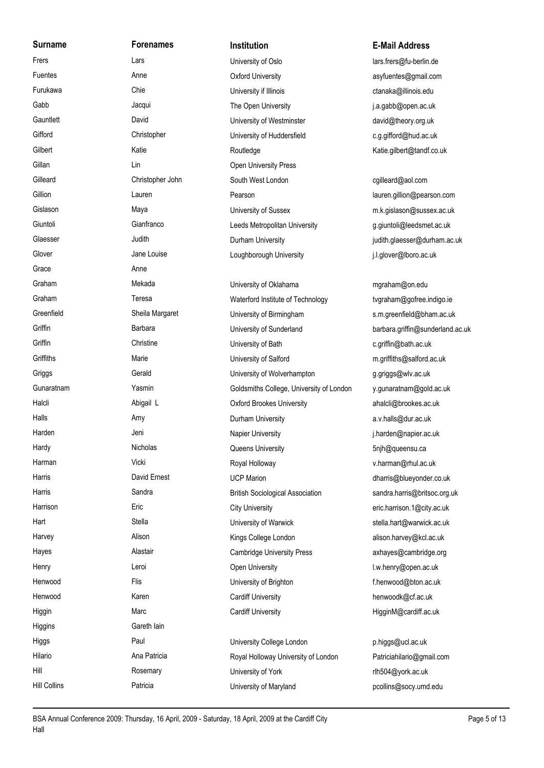**Surname Forenames Institution E-Mail Address** Glover Jane Louise Jane Louise Loughborough University i.l.glover@lboro.ac.uk Grace Anne Graham **Mekada** Mekada University of Oklahama mgraham@on.edu Higgins Gareth Iain Hill **Hill** Rosemary **Rosemary Serversity of York** The University of York rlh504@york.ac.uk

Frers Lars Lars Lars University of Oslo lars frers@fu-berlin.de Fuentes Anne Oxford University asyfuentes@gmail.com Furukawa Chie University if Illinois ctanaka@illinois.edu Gabb Jacqui Jacqui The Open University Jacquies i.a.gabb@open.ac.uk Gauntlett **David** David University of Westminster david@theory.org.uk Gifford Christopher University of Huddersfield c.g.gifford@hud.ac.uk Gilbert **Katie** Katie Katie Routledge Katie.gilbert@tandf.co.uk Gillan **Communists** Lin Communist Communist Communist Communist Communist Communist Communist Communist Communist Communist Communist Communist Communist Communist Communist Communist Communist Communist Communist Communis Gilleard Christopher John South West London cgilleard@aol.com Gillion Lauren Pearson lauren.gillion@pearson.com Gislason **Maya** Maya University of Sussex m.k.gislason@sussex.ac.uk Giuntoli Cianfranco Leeds Metropolitan University and aniuntoli@leedsmet.ac.uk Glaesser **Subject Contract Audith** Durham University **Glaesser** judith.glaesser@durham.ac.uk

Graham Teresa Teresa Waterford Institute of Technology tvgraham@gofree.indigo.ie Greenfield Sheila Margaret University of Birmingham s.m.greenfield@bham.ac.uk Griffin **Barbara** Barbara University of Sunderland **Barbara.griffin@sunderland.ac.uk** barbara.griffin@sunderland.ac.uk Griffin Christine Christine University of Bath C.griffin@bath.ac.uk Griffiths Marie Marie University of Salford m.griffiths@salford.ac.uk Griggs Gerald Gerald University of Wolverhampton g.griggs@wlv.ac.uk Gunaratnam Yasmin Yasmin Goldsmiths College, University of London y.gunaratnam@gold.ac.uk Halcli **Abigail L** Abigail L **Oxford Brookes University** ahalcli@brookes.ac.uk Halls **Amy** Amy Durham University **Amy** Durham University a.v.halls@dur.ac.uk Harden **Machines Harden Jeni Napier University** Mapier University **index** increment ac.uk Hardy **Nicholas** Nicholas Queens University **5njh@queensu.ca** Harman Vicki Royal Holloway v.harman@rhul.ac.uk Harris **Example 20** David Ernest **COVID-COVID-COVID-COVID-COVID-COVID-COVID-COVID-COVID-COVID-COVID-COVID-COVID-COVID-COVID-COVID-COVID-COVID-COVID-COVID-COVID-COVID-COVID-COVID-COVID-COVID-COVID-COVID-COVID-COVID-COVID-CO** Harris Sandra Sandra British Sociological Association sandra.harris@britsoc.org.uk Harrison Eric Eric City University Eric City University eric.harrison.1@city.ac.uk Hart Stella Stella University of Warwick stella.hart@warwick.ac.uk Stella.hart@warwick.ac.uk Harvey **Alison** Alison Kings College London alison.harvey@kcl.ac.uk Hayes **Alastair** Alastair Cambridge University Press axhayes@cambridge.org Henry Leroi Leroi Open University Communication I.w.henry@open.ac.uk Henwood Flis Filis University of Brighton File Thenwood@bton.ac.uk Henwood Karen Cardiff University henwoodk@cf.ac.uk Higgin **Marc** Marc Cardiff University **Marc** Cardiff University **Marc** HigginM@cardiff.ac.uk Higgs **Paul** Paul Christophersity College London **phiggs@ucl.ac.uk** Paul Paul Districts Hilario **Ana Patricia Royal Holloway University of London** Patriciahilario@gmail.com

Hill Collins **Patricia** Patricia **Patricia** University of Maryland **Patricia** pcollins@socy.umd.edu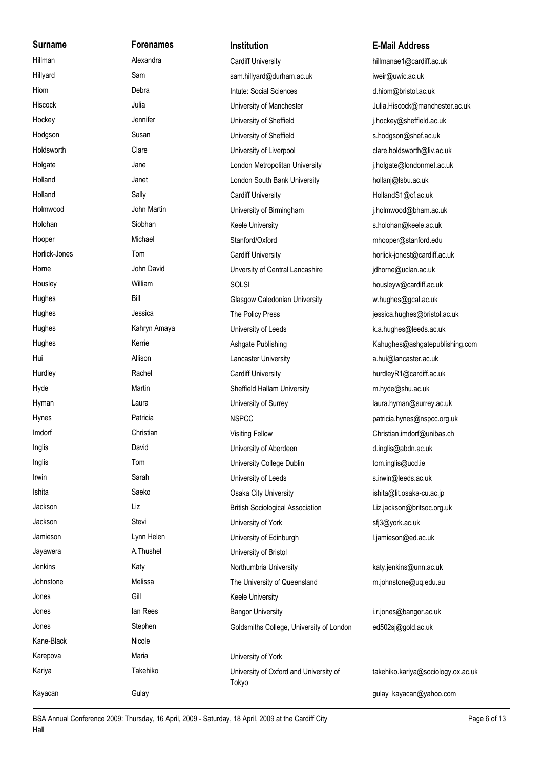**Surname Forenames Institution E-Mail Address** Kane-Black Nicole

Hillman **Alexandra** Alexandra Cardiff University **hillmanae1@cardiff.ac.uk** Alexandra Cardiff.ac.uk Hillyard Sam sam.hillyard@durham.ac.uk iweir@uwic.ac.uk Hiom Debra Debra Intute: Social Sciences d.hiom@bristol.ac.uk Hiscock **Manufall Accock** Julia Julia University of Manchester **Manufall Accock**@manchester.ac.uk Hockey Jennifer University of Sheffield in a ginockey@sheffield.ac.uk Hodgson Susan Susan University of Sheffield strong shodgson@shef.ac.uk Holdsworth Clare Clare University of Liverpool clare.holdsworth@liv.ac.uk Holgate **Southern Holgate** Jane Jane London Metropolitan University **Glass Condomization** i.holgate@londonmet.ac.uk Holland Janet Janet London South Bank University hollanj@lsbu.ac.uk Holland Sally Sally Cardiff University Cardiff University Cardiff University Cardiff University HollandS1@cf.ac.uk Holmwood John Martin University of Birmingham j.holmwood@bham.ac.uk Holohan Siobhan Siobhan Keele University s.holohan@keele.ac.uk Hooper Michael Michael Stanford/Oxford mhooper@stanford.edu Horlick-Jones Tom Tom Cardiff University Cardiff University horlick-jonest@cardiff.ac.uk Horne **Marko Horne** John David **Marko Lancashire** Unversity of Central Lancashire in a gidhorne@uclan.ac.uk Housley **Milliam** Milliam SOLSI housleyw@cardiff.ac.uk Hughes Bill Bill Glasgow Caledonian University w.hughes@gcal.ac.uk Hughes dessica Jessica The Policy Press in the Policy Press jessica.hughes@bristol.ac.uk Hughes **Kahryn Amaya** University of Leeds **K.a.hughes@leeds.ac.uk** K.a.hughes@leeds.ac.uk Hughes **Kerrie Kerrie Kerrie Ashgate Publishing Kahughes@ashgatepublishing.com** Hui **Allison** Allison Lancaster University **a.hui@lancaster.ac.uk** Hurdley **Rachel Rachel Cardiff University** Cardiff University **Cardiff.ac.uk** hurdleyR1@cardiff.ac.uk Hyde **Martin Martin Sheffield Hallam University** m.hyde@shu.ac.uk Hyman **Example 2** Laura Laura University of Surrey and the University of Surrey ac.uk Hynes **Patricia** Patricia **NSPCC patricia.hynes@nspcc.org.uk** patricia.hynes@nspcc.org.uk Imdorf Christian Visiting Fellow Christian.imdorf@unibas.ch Inglis David University of Aberdeen d.inglis@abdn.ac.uk Inglis Tom University College Dublin tom.inglis@ucd.ie Irwin **Irmin Sarah Sarah Communisty of Leeds** Sarah University of Leeds s.irwin@leeds.ac.uk Ishita Saeko Saeko Osaka City University ishita@lit.osaka-cu.ac.jp Jackson Liz British Sociological Association Liz.jackson@britsoc.org.uk Jackson Stevi University of York sfj3@york.ac.uk Jamieson **Lynn Helen** Lynn Helen University of Edinburgh and Liamieson @ed.ac.uk Jayawera **A.Thushel Communist Communist A.Thushel** University of Bristol Jenkins Katy Northumbria University katy.jenkins@unn.ac.uk Johnstone Melissa Melissa The University of Queensland m.johnstone@uq.edu.au Jones Gill Gill Keele University Jones **In Rees Ian Rees** Bangor University **i.r.jones@bangor.ac.uk** Intervention.com Jones Stephen Goldsmiths College, University of London ed502sj@gold.ac.uk Karepova Maria Maria Maria Maria Maria Muniversity of York Kariya Takehiko University of Oxford and University of takehiko.kariya@sociology.ox.ac.uk Tokyo

Kayacan Gulay Gulay Gulay Gulay Gulay Gulay Gulay Gulay Gulay Gulay Gulay Gulay Gulay Gulay Gulay Gulay Gulay Gulay Gulay Gulay Gulay Gulay Gulay Gulay Gulay Gulay Gulay Gulay Gulay Gulay Gulay Gulay Gulay Gulay Gulay Gula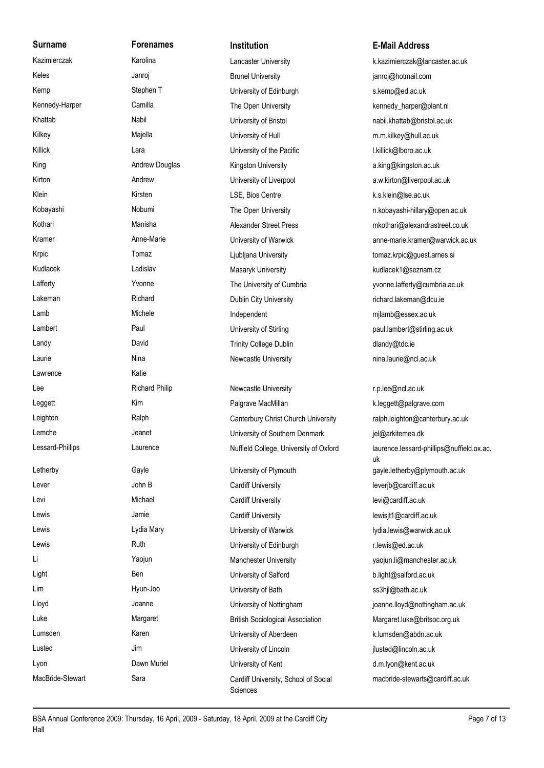Lawrence Katie

Kazimierczak **Karolina** Karolina Lancaster University k.kazimierczak@lancaster.ac.uk Keles **Grand Communist Communist Communist Communist Communist Communist Communist Communist Communist Communist Communist Communist Communist Communist Communist Communist Communist Communist Communist Communist Communist** Kemp Stephen T University of Edinburgh S.kemp@ed.ac.uk Kennedy-Harper Camilla Camilla The Open University Chamber of the Arper Coplant.nl Khattab Nabil Nabil University of Bristol nabil.khattab@bristol.ac.uk Kilkey Majella University of Hull m.m.kilkey@hull.ac.uk Killick Lara Lara University of the Pacific L.killick@lboro.ac.uk King **Andrew Douglas Kingston University** a.king@kingston.ac.uk Kirton **Andrew Andrew University of Liverpool** a.w.kirton@liverpool.ac.uk Klein **Kaling Kirsten Kirsten** LSE, Bios Centre **Contrenting Contrenting Contrenting**lse.ac.uk Kobayashi Nobumi Nobumi The Open University network of the Mayashi-hillary@open.ac.uk Kothari **Manisha** Manisha Alexander Street Press mkothari@alexandrastreet.co.uk Krpic Tomaz Tomaz Ciubljana University Ciubest tomaz.krpic@guest.arnes.si Kudlacek **Ladislav** Ladislav Masaryk University **Masaryk University** kudlacek1@seznam.cz Lafferty **The University of Cumbria** yvonne.lafferty@cumbria.ac.uk Lakeman **Richard** Richard Dublin City University **Richard.lakeman@dcu.ie Richard.lakeman@dcu.ie** Lamb Michele Michele Independent metapology milamb@essex.ac.uk Lambert **Paul** Paul University of Stirling **paul.lambert@stirling.ac.uk** University of Stirling Landy David David Trinity College Dublin and the dlandy@tdc.ie Laurie **Nina** Nina Nina Newcastle University **New Account New Account Account Account Account New Account New Account New Account New Account New Account New Account New Account New Account New Account New Account New Acco** Lee **Richard Philip Newcastle University Newcastle University** r.p.lee@ncl.ac.uk Leggett **Acker Constructs** Kim **Ralgrave MacMillan** MacMillan K.leggett@palgrave.com Leighton Ralph Canterbury Christ Church University ralph.leighton@canterbury.ac.uk Lemche **Communisty of Southern Denmark** Jeanet Lemche Jeanet University of Southern Denmark iel@arkitemea.dk Nuffield College, University of Oxford Letherby Gayle Gayle University of Plymouth and the gayle.letherby@plymouth.ac.uk Lever **Cardiff University** Cardiff University **Cardiff University** leverjb@cardiff.ac.uk Levi **Michael Cardiff University** Cardiff University **Levi** Revi@cardiff.ac.uk Lewis **Lewis Lewisit1@cardiff.ac.uk** Jamie **Cardiff University Cardiff University Lewisit1@cardiff.ac.uk** Lewis **Lydia Mary Community Community Community** University of Warwick Lydia.lewis@warwick.ac.uk Lewis **Ruth Ruth University of Edinburgh Revis** Clewis@ed.ac.uk Li Yaojun Manchester University yaojun.li@manchester.ac.uk Light Ben Ben University of Salford b.light@salford.ac.uk Lim Contract Hyun-Joo Contract University of Bath San Music States States and the States States States States Lloyd Joanne University of Nottingham joanne.lloyd@nottingham.ac.uk Luke **Margaret Margaret British Sociological Association** Margaret.luke@britsoc.org.uk Lumsden **Karen** Karen **Karen Weiter University of Aberdeen** K.lumsden@abdn.ac.uk Lusted Jim Jim University of Lincoln in the pulse of Lincoln jlusted@lincoln.ac.uk Lyon **Dawn Muriel Community of Kent** Denversity of Kent d.m.lyon@kent.ac.uk

### **Surname Forenames Institution E-Mail Address**

Kramer **Anne-Marie Community of Warwick** anne-marie.kramer@warwick.ac.uk

Lessard-Phillips Laurence Leaurence have a huffield College. University of Oxford laurence.lessard-phillips@nuffield.ox.ac. uk MacBride-Stewart Sara Sara Cardiff University, School of Social macbride-stewarts@cardiff.ac.uk

**Sciences**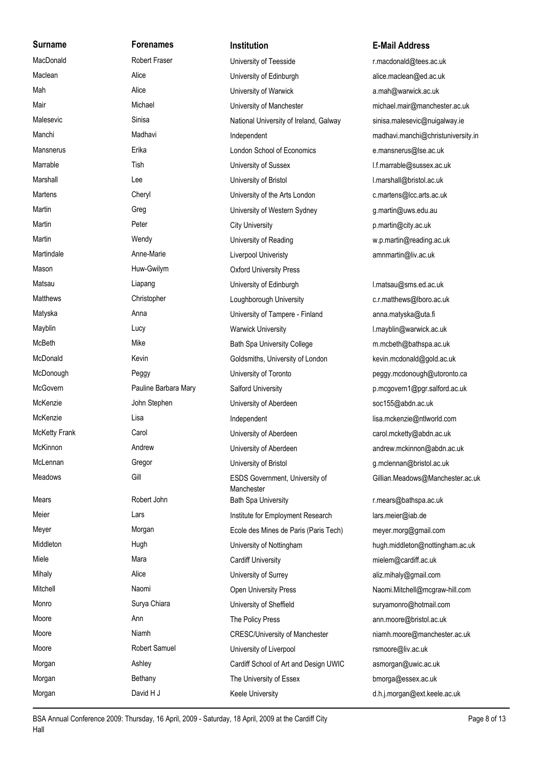**Surname Forenames Institution E-Mail Address** MacDonald Robert Fraser University of Teesside r.macdonald@tees.ac.uk Maclean Alice Alice University of Edinburgh alice.maclean@ed.ac.uk Mah Alice Alice University of Warwick a.mah@warwick.ac.uk Mair **Michael Michael University of Manchester** michael.mair@manchester.ac.uk Malesevic Sinisa Sinisa National University of Ireland, Galway sinisa.malesevic@nuigalway.ie Manchi Madhavi Madhavi Independent madhavi.manchi@christuniversity.in Mansnerus **Erika** Erika London School of Economics e.mansnerus@lse.ac.uk Marrable Tish Tish University of Sussex and the Infimarrable@sussex.ac.uk Marshall Lee Lee University of Bristol Communication I.marshall@bristol.ac.uk Martens Cheryl Cheryl University of the Arts London c.martens@lcc.arts.ac.uk Martin Greg Greg University of Western Sydney g.martin@uws.edu.au Martin **Martin City University Peter** City University **City University Propose City Constructs p.martin@city.ac.uk** Martin Wendy Wendy University of Reading www.p.martin@reading.ac.uk Martindale **Anne-Marie Anne-Marie Liverpool Univeristy** amnmartin@liv.ac.uk Mason **Mason** Huw-Gwilym **COXFORD University Press** Matsau **Liapang Liapang Liapang Letter Liapang** University of Edinburgh Matsau **I.matsau@sms.ed.ac.uk** Matthews Christopher Christopher Loughborough University c.r.matthews@lboro.ac.uk Matyska **Anna** Anna **Anna Watara Anna Anna Anna Anna Anna** University of Tampere - Finland anna.matyska@uta.fi Mayblin Lucy Lucy Warwick University Character Mayblin@warwick.ac.uk McBeth Mike Mike Bath Spa University College m.mcbeth@bathspa.ac.uk McDonald Kevin Kevin Goldsmiths, University of London kevin.mcdonald@gold.ac.uk McDonough **Peggy** Peggy University of Toronto **peggy.mcdonough@utoronto.ca** McGovern **Pauline Barbara Mary Salford University Contained Barbara Mary** Salford University **p.mcgovern1@pgr.salford.ac.uk** McKenzie **McKenzie** John Stephen University of Aberdeen soc155@abdn.ac.uk McKenzie Cisa Lisa Lisa Independent lisa.mckenzie@ntlworld.com McKetty Frank Carol Carol Carol University of Aberdeen carol.mcketty@abdn.ac.uk McKinnon andrew Andrew andrew University of Aberdeen andrew.mckinnon@abdn.ac.uk McLennan Gregor Gregor University of Bristol Gregor Bristol g.mclennan@bristol.ac.uk Meadows Gill Gill ESDS Government, University of Gillian.Meadows@Manchester.ac.uk **Manchester** Mears **Robert John** Bath Spa University **Robert School Space Setter Space Interventsion** r.mears@bathspa.ac.uk Meier **Lars Institute for Employment Research** lars.meier@iab.de Meyer Morgan Ecole des Mines de Paris (Paris Tech) meyer.morg@gmail.com Middleton **Middleton** Hugh Hugh University of Nottingham hugh.middleton@nottingham.ac.uk Miele Mara Mara Cardiff University mielem@cardiff.ac.uk Mihaly **Alice** Alice University of Surrey aliz.mihaly@gmail.com Mitchell Mitchell Naomi Naomi Chen University Press Naomi.Mitchell@mcgraw-hill.com Monro Surya Chiara University of Sheffield survamonro@hotmail.com Moore **Ann** Ann The Policy Press ann.moore@bristol.ac.uk Moore Niamh Niamh CRESC/University of Manchester niamh.moore@manchester.ac.uk Moore Robert Samuel University of Liverpool rsmoore@liv.ac.uk Morgan **Ashley Cardiff School of Art and Design UWIC** asmorgan@uwic.ac.uk Morgan Bethany Bethany The University of Essex bmorga@essex.ac.uk Morgan David H J Keele University Contract Muslimorgan@ext.keele.ac.uk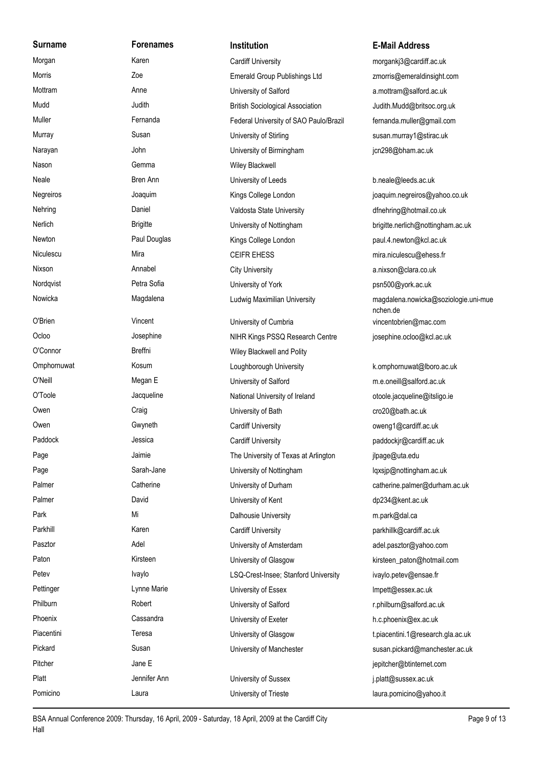**Surname Forenames Institution E-Mail Address** Morgan Karen Cardiff University morgankj3@cardiff.ac.uk Morris **Emerald Group Publishings Ltd** zmorris@emeraldinsight.com Mottram **Anne** Anne University of Salford a.mottram@salford.ac.uk Mudd Judith Judith British Sociological Association Judith.Mudd@britsoc.org.uk Muller Fernanda Fernanda Federal University of SAO Paulo/Brazil fernanda.muller@gmail.com Murray Susan Susan University of Stirling susan.murray1@stirac.uk Narayan **Marayan** John John University of Birmingham in ac.uk Nason **Gemma** Gemma Wiley Blackwell Neale Bren Ann Bren Ann University of Leeds b.neale@leeds.ac.uk Negreiros **Magamaga Sollege London** Hings College London in a control of previous could be pre-Nehring **Daniel Community** Daniel Valdosta State University **Community of the Automobia** Co.uk Nerlich Brigitte Brigitte University of Nottingham brigitte.nerlich@nottingham.ac.uk Newton **Paul Douglas** Paul Douglas Kings College London **Paul.4.newton@kcl.ac.uk** Niculescu Mira Mira CEIFR EHESS mira.niculescu@ehess.fr Nixson **Annabel Annabel** City University **City Community** a.nixson@clara.co.uk Nordqvist **Petra Sofia** Petra Sofia University of York **Provident Petra Sofia** University of York **psn500@york.ac.uk** Nowicka Magdalena Magdalena Ludwig Maximilian University magdalena.nowicka@soziologie.uni-mue nchen.de Ludwig Maximilian University O'Brien Vincent University of Cumbria vincentobrien@mac.com Ocloo Josephine Josephine NIHR Kings PSSQ Research Centre josephine.ocloo@kcl.ac.uk O'Connor **Breffni** Breffni Wiley Blackwell and Polity Omphornuwat Kosum Kosum Loughborough University k.omphornuwat@lboro.ac.uk O'Neill **Megan E** Megan E University of Salford m.e.oneill@salford.ac.uk O'Toole Jacqueline Jacqueline National University of Ireland otoole.jacqueline@itsligo.ie Owen Craig Craig Craig University of Bath Cro20@bath.ac.uk Owen Gwyneth Gwyneth Cardiff University Cardiff University oweng1@cardiff.ac.uk Paddock **South Across Jessica** Jessica Cardiff University **Cardiff University Paddockir@cardiff.ac.uk** Page The University of Texas at Arlington jlpage@uta.edu Page Sarah-Jane Sarah-Jane University of Nottingham lossip@nottingham.ac.uk Palmer Catherine Catherine University of Durham catherine.palmer@durham.ac.uk Palmer David David David University of Kent Charles And Ap234@kent.ac.uk Park **Mi** Mi Dalhousie University m.park@dal.ca Parkhill **Example 20 Karen** Cardiff University **Cardiff University Parkhill Cardiff.ac.uk** parkhillk@cardiff.ac.uk Pasztor **Adel** Adel **Noting Adel Constructs** University of Amsterdam and Bullet and Adel.pasztor@yahoo.com Paton **Reserves Constructs** Kirsteen Mission Christeen University of Glasgow **Reserves Constructs** Kirsteen paton@hotmail.com Petev **Ivaylo** Ivaylo LSQ-Crest-Insee; Stanford University ivaylo.petev@ensae.fr Pettinger **Lynne Marie** Lynne Marie University of Essex and Marie university of Essex ac.uk Philburn **Robert Robert** University of Salford **Robert** Lehiburn@salford.ac.uk Phoenix **Cassandra** Cassandra University of Exeter **h.c.phoenix@ex.ac.uk** Cassandra Piacentini **Teresa** Teresa University of Glasgow t.piacentini.1@research.gla.ac.uk Pickard Susan Susan University of Manchester susan.pickard@manchester.ac.uk Pitcher **E** and the state of the Jane E in the state of the state of the state of the state of the state of the state of the state of the state of the state of the state of the state of the state of the state of the state Platt **Mathem Constructs Ann** University of Sussex and Diplatt Ann University of Sussex ac.uk Pomicino **Cause Laura** Laura **Cause Laura** University of Trieste **Laura.** Pomicino Quando it

BSA Annual Conference 2009: Thursday, 16 April, 2009 - Saturday, 18 April, 2009 at the Cardiff City Page 9 of 13 Hall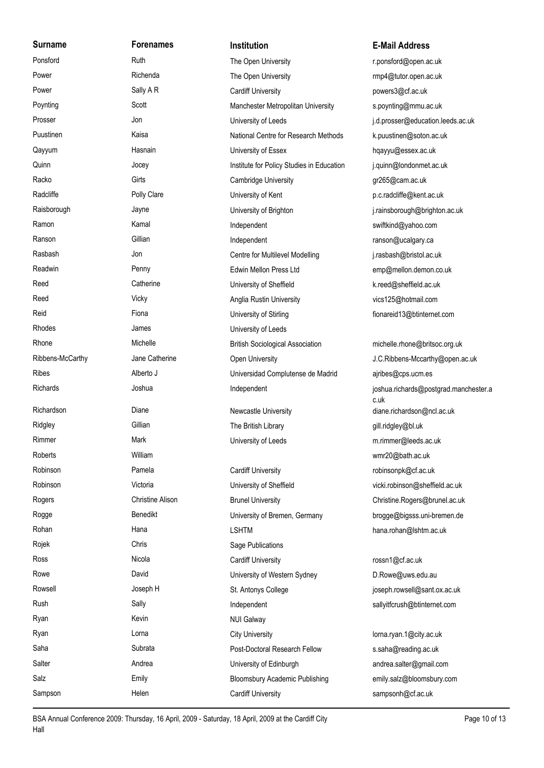| <b>Surname</b>   | <b>Forenames</b>        | <b>Institution</b>                        | <b>E-Mail Address</b>                         |
|------------------|-------------------------|-------------------------------------------|-----------------------------------------------|
| Ponsford         | Ruth                    | The Open University                       | r.ponsford@open.ac.uk                         |
| Power            | Richenda                | The Open University                       | rmp4@tutor.open.ac.uk                         |
| Power            | Sally A R               | <b>Cardiff University</b>                 | powers3@cf.ac.uk                              |
| Poynting         | Scott                   | Manchester Metropolitan University        | s.poynting@mmu.ac.uk                          |
| Prosser          | Jon                     | University of Leeds                       | j.d.prosser@education.leeds.ac.uk             |
| Puustinen        | Kaisa                   | National Centre for Research Methods      | k.puustinen@soton.ac.uk                       |
| Qayyum           | Hasnain                 | University of Essex                       | hqayyu@essex.ac.uk                            |
| Quinn            | Jocey                   | Institute for Policy Studies in Education | j.quinn@londonmet.ac.uk                       |
| Racko            | Girts                   | <b>Cambridge University</b>               | gr265@cam.ac.uk                               |
| Radcliffe        | Polly Clare             | University of Kent                        | p.c.radcliffe@kent.ac.uk                      |
| Raisborough      | Jayne                   | University of Brighton                    | j.rainsborough@brighton.ac.uk                 |
| Ramon            | Kamal                   | Independent                               | swiftkind@yahoo.com                           |
| Ranson           | Gillian                 | Independent                               | ranson@ucalgary.ca                            |
| Rasbash          | Jon                     | Centre for Multilevel Modelling           | j.rasbash@bristol.ac.uk                       |
| Readwin          | Penny                   | Edwin Mellon Press Ltd                    | emp@mellon.demon.co.uk                        |
| Reed             | Catherine               | University of Sheffield                   | k.reed@sheffield.ac.uk                        |
| Reed             | Vicky                   | Anglia Rustin University                  | vics125@hotmail.com                           |
| Reid             | Fiona                   | University of Stirling                    | fionareid13@btinternet.com                    |
| Rhodes           | James                   | University of Leeds                       |                                               |
| Rhone            | Michelle                | <b>British Sociological Association</b>   | michelle.rhone@britsoc.org.uk                 |
| Ribbens-McCarthy | Jane Catherine          | Open University                           | J.C.Ribbens-Mccarthy@open.ac.uk               |
| Ribes            | Alberto J               | Universidad Complutense de Madrid         | ajribes@cps.ucm.es                            |
| Richards         | Joshua                  | Independent                               | joshua.richards@postgrad.manchester.a<br>c.uk |
| Richardson       | Diane                   | Newcastle University                      | diane.richardson@ncl.ac.uk                    |
| Ridgley          | Gillian                 | The British Library                       | gill.ridgley@bl.uk                            |
| Rimmer           | Mark                    | University of Leeds                       | m.rimmer@leeds.ac.uk                          |
| Roberts          | William                 |                                           | wmr20@bath.ac.uk                              |
| Robinson         | Pamela                  | <b>Cardiff University</b>                 | robinsonpk@cf.ac.uk                           |
| Robinson         | Victoria                | University of Sheffield                   | vicki.robinson@sheffield.ac.uk                |
| Rogers           | <b>Christine Alison</b> | <b>Brunel University</b>                  | Christine.Rogers@brunel.ac.uk                 |
| Rogge            | Benedikt                | University of Bremen, Germany             | brogge@bigsss.uni-bremen.de                   |
| Rohan            | Hana                    | <b>LSHTM</b>                              | hana.rohan@lshtm.ac.uk                        |
| Rojek            | Chris                   | Sage Publications                         |                                               |
| Ross             | Nicola                  | <b>Cardiff University</b>                 | rossn1@cf.ac.uk                               |
| Rowe             | David                   | University of Western Sydney              | D.Rowe@uws.edu.au                             |
| Rowsell          | Joseph H                | St. Antonys College                       | joseph.rowsell@sant.ox.ac.uk                  |
| Rush             | Sally                   | Independent                               | sallyitfcrush@btinternet.com                  |
| Ryan             | Kevin                   | <b>NUI Galway</b>                         |                                               |
| Ryan             | Lorna                   | <b>City University</b>                    | lorna.ryan.1@city.ac.uk                       |
| Saha             | Subrata                 | Post-Doctoral Research Fellow             | s.saha@reading.ac.uk                          |
| Salter           | Andrea                  | University of Edinburgh                   | andrea.salter@gmail.com                       |
| Salz             | Emily                   | Bloomsbury Academic Publishing            | emily.salz@bloomsbury.com                     |
| Sampson          | Helen                   | <b>Cardiff University</b>                 | sampsonh@cf.ac.uk                             |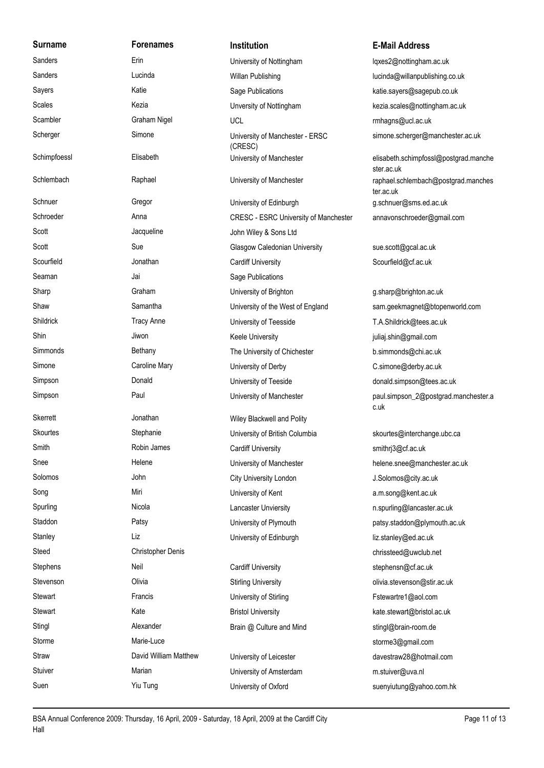Seaman Jai Jai Sage Publications Skerrett **Skerrett** Jonathan **Wiley Blackwell** and Polity Stephens Neil Neil Cardiff University Cardiff University Stephensn@cf.ac.uk Storme Marie-Luce Marie-Luce storme3@gmail.com

# **Surname Forenames Institution E-Mail Address** Sanders **Erin** Erin University of Nottingham **noting that Incremental Constanting Lawrence Constanting Lawrence Constanting Lawrence Constanting Lawrence Constanting Lawrence Constanting Lawrence Constanting Lawrence Const** Scambler Graham Nigel UCL UCL Cambler mhagns@ucl.ac.uk (CRESC) Schimpfoessl Elisabeth Elisabeth University of Manchester elisabeth.schimpfossl@postgrad.manche University of Manchester University of Manchester Schnuer Gregor Gregor University of Edinburgh g.schnuer@sms.ed.ac.uk Scott Jacqueline Jacqueline John Wiley & Sons Ltd Scott Sue Sue Glasgow Caledonian University sue.scott@gcal.ac.uk Scourfield **Scourfield** Jonathan Cardiff University Scourfield Scourfield Scourfield Sharp Graham Graham University of Brighton Graham g.sharp@brighton.ac.uk Shildrick Tracy Anne University of Teesside T.A.Shildrick@tees.ac.uk Shin Jiwon Jiwon Keele University is a pullial shin@gmail.com Simmonds Bethany Bethany The University of Chichester b.simmonds@chi.ac.uk Simone Caroline Mary University of Derby C.simone@derby.ac.uk Simpson **Simpson** Donald Donald University of Teeside donald.simpson@tees.ac.uk University of Manchester

Skourtes Stephanie Stephanie University of British Columbia skourtes@interchange.ubc.ca Smith Robin James Cardiff University Cardiff University smithrj3@cf.ac.uk Solomos John City University London J.Solomos@city.ac.uk Song Miri Miri University of Kent and a.m.song@kent.ac.uk Spurling Nicola Nicola Lancaster Unviersity n.spurling@lancaster.ac.uk Stanley Liz Liz University of Edinburgh liz.stanley@ed.ac.uk Steed Christopher Denis chrissteed@uwclub.net

Stewart Francis Francis University of Stirling Fistewartre1@aol.com Stewart **Kate** Kate Bristol University **Kate Bristol University** Kate.stewart@bristol.ac.uk Stingl **Alexander** Alexander Brain @ Culture and Mind stingl@brain-room.de

Stuiver **Marian Marian Marian** University of Amsterdam metal metal metal metal Suen Suen Yiu Tung University of Oxford Suen Suenyiutung@yahoo.com.hk

Sanders **Sanders** Cucinda Lucinda Willan Publishing **Constanting Lucinda** Willan Publishing Lucinda Co.uk Sayers **Katie** Katie Sage Publications Sage Publications katie.sayers@sagepub.co.uk Scales **Kezia** Kezia **Kezia** Unversity of Nottingham kezia.scales@nottingham.ac.uk Scherger Simone Simone University of Manchester - ERSC simone.scherger@manchester.ac.uk

ster.ac.uk Schlembach Raphael Raphael University of Manchester raphael.schlembach@postgrad.manches ter.ac.uk Schroeder **Anna** Anna CRESC - ESRC University of Manchester annavonschroeder@gmail.com

Shaw Samantha Samantha University of the West of England sam.geekmagnet@btopenworld.com Simpson **Paul** Paul **Paul** paul simpson Paul.simpson Paul.simpson Paul.simpson Paul.simpson Paul.simpson Paul.simpson Paul.simpson Paul.simpson Paul.simpson Paul.simpson Paul.simpson Paul.simpson Paul.simpson Paul.simpson c.uk

Snee **Shee** Helene Helene University of Manchester helene.snee@manchester.ac.uk Staddon **Patsy Patsy Billion Patsy Constructs** University of Plymouth **Patsy** Patsy.staddon@plymouth.ac.uk Stevenson **Stirling University** Clivia Stirling University **Contained Stirling Contains a Contains Contains Conta** Straw David William Matthew University of Leicester davestraw28@hotmail.com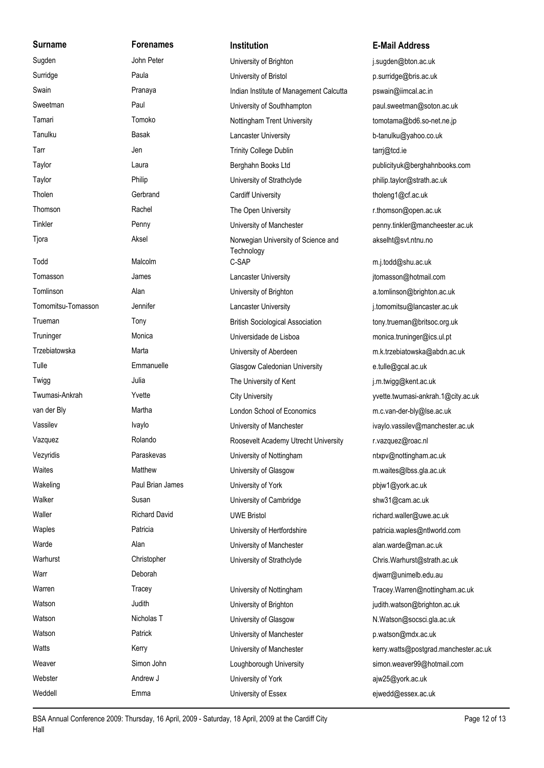| <b>Surname</b>     | <b>Forenames</b>     | Institution                                       | <b>E-Mail Address</b>  |
|--------------------|----------------------|---------------------------------------------------|------------------------|
| Sugden             | John Peter           | University of Brighton                            | j.sugden@bton.ac.uk    |
| Surridge           | Paula                | University of Bristol                             | p.surridge@bris.ac.ul  |
| Swain              | Pranaya              | Indian Institute of Management Calcutta           | pswain@iimcal.ac.in    |
| Sweetman           | Paul                 | University of Southhampton                        | paul.sweetman@sotc     |
| Tamari             | Tomoko               | Nottingham Trent University                       | tomotama@bd6.so-n      |
| Tanulku            | Basak                | Lancaster University                              | b-tanulku@yahoo.co.    |
| Tarr               | Jen                  | <b>Trinity College Dublin</b>                     | tarrj@tcd.ie           |
| Taylor             | Laura                | Berghahn Books Ltd                                | publicityuk@berghah    |
| Taylor             | Philip               | University of Strathclyde                         | philip.taylor@strath.a |
| Tholen             | Gerbrand             | <b>Cardiff University</b>                         | tholeng1@cf.ac.uk      |
| Thomson            | Rachel               | The Open University                               | r.thomson@open.ac.     |
| Tinkler            | Penny                | University of Manchester                          | penny.tinkler@manch    |
| Tjora              | Aksel                | Norwegian University of Science and<br>Technology | akselht@svt.ntnu.no    |
| Todd               | Malcolm              | C-SAP                                             | m.j.todd@shu.ac.uk     |
| Tomasson           | James                | Lancaster University                              | jtomasson@hotmail.c    |
| Tomlinson          | Alan                 | University of Brighton                            | a.tomlinson@brightor   |
| Tomomitsu-Tomasson | Jennifer             | Lancaster University                              | j.tomomitsu@lancasto   |
| Trueman            | Tony                 | <b>British Sociological Association</b>           | tony.trueman@britsoo   |
| Truninger          | Monica               | Universidade de Lisboa                            | monica.truninger@ics   |
| Trzebiatowska      | Marta                | University of Aberdeen                            | m.k.trzebiatowska@a    |
| Tulle              | Emmanuelle           | Glasgow Caledonian University                     | e.tulle@gcal.ac.uk     |
| Twigg              | Julia                | The University of Kent                            | j.m.twigg@kent.ac.uk   |
| Twumasi-Ankrah     | Yvette               | <b>City University</b>                            | yvette.twumasi-ankra   |
| van der Bly        | Martha               | London School of Economics                        | m.c.van-der-bly@lse.   |
| Vassilev           | Ivaylo               | University of Manchester                          | ivaylo.vassilev@man    |
| Vazquez            | Rolando              | Roosevelt Academy Utrecht University              | r.vazquez@roac.nl      |
| Vezyridis          | Paraskevas           | University of Nottingham                          | ntxpv@nottingham.ao    |
| Waites             | Matthew              | University of Glasgow                             | m.waites@lbss.gla.ad   |
| Wakeling           | Paul Brian James     | University of York                                | pbjw1@york.ac.uk       |
| Walker             | Susan                | University of Cambridge                           | shw31@cam.ac.uk        |
| Waller             | <b>Richard David</b> | <b>UWE Bristol</b>                                | richard.waller@uwe.a   |
| Waples             | Patricia             | University of Hertfordshire                       | patricia.waples@ntlw   |
| Warde              | Alan                 | University of Manchester                          | alan.warde@man.ac.     |
| Warhurst           | Christopher          | University of Strathclyde                         | Chris.Warhurst@strat   |
| Warr               | Deborah              |                                                   | djwarr@unimelb.edu.    |
| Warren             | Tracey               | University of Nottingham                          | Tracey.Warren@notti    |
| Watson             | Judith               | University of Brighton                            | judith.watson@bright   |
| Watson             | Nicholas T           | University of Glasgow                             | N.Watson@socsci.gla    |
| Watson             | Patrick              | University of Manchester                          | p.watson@mdx.ac.uk     |
| Watts              | Kerry                | University of Manchester                          | kerry.watts@postgrad   |
| Weaver             | Simon John           | Loughborough University                           | simon.weaver99@ho      |
| Webster            | Andrew J             | University of York                                | ajw25@york.ac.uk       |
| Weddell            | Emma                 | University of Essex                               | ejwedd@essex.ac.uk     |

## **Surname Forenames Institution E-Mail Address**

j.sugden@bton.ac.uk p.surridge@bris.ac.uk cutta pswain@iimcal.ac.in paul.sweetman@soton.ac.uk tomotama@bd6.so-net.ne.jp b-tanulku@yahoo.co.uk publicityuk@berghahnbooks.com philip.taylor@strath.ac.uk tholeng1@cf.ac.uk r.thomson@open.ac.uk penny tinkler@mancheester.ac.uk d akselht@svt.ntnu.no m.j.todd@shu.ac.uk jtomasson@hotmail.com a.tomlinson@brighton.ac.uk j.tomomitsu@lancaster.ac.uk tony.trueman@britsoc.org.uk monica.truninger@ics.ul.pt m.k.trzebiatowska@abdn.ac.uk e.tulle@gcal.ac.uk j.m.twigg@kent.ac.uk yvette twumasi-ankrah 1@city ac.uk m.c.van-der-bly@lse.ac.uk ivaylo.vassilev@manchester.ac.uk vazquez@roac.nl ntxpv@nottingham.ac.uk m.waites@lbss.gla.ac.uk pbjw1@york.ac.uk shw31@cam.ac.uk richard.waller@uwe.ac.uk patricia waples@ntlworld.com alan.warde@man.ac.uk Chris.Warhurst@strath.ac.uk djwarr@unimelb.edu.au Tracey.Warren@nottingham.ac.uk judith.watson@brighton.ac.uk N.Watson@socsci.gla.ac.uk p.watson@mdx.ac.uk kerry.watts@postgrad.manchester.ac.uk

simon.weaver99@hotmail.com

BSA Annual Conference 2009: Thursday, 16 April, 2009 - Saturday, 18 April, 2009 at the Cardiff City Page 12 of 13 Hall